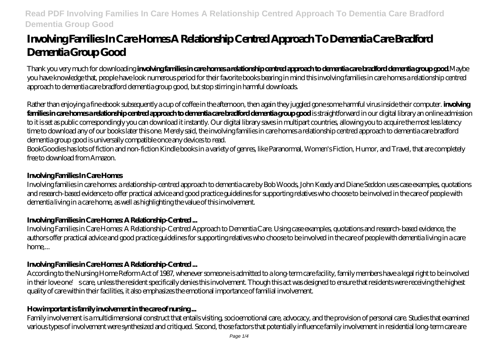# **Involving Families In Care Homes A Relationship Centred Approach To Dementia Care Bradford Dementia Group Good**

Thank you very much for downloading **involving families in care homes a relationship centred approach to dementia care bradford dementia group good**.Maybe you have knowledge that, people have look numerous period for their favorite books bearing in mind this involving families in care homes a relationship centred approach to dementia care bradford dementia group good, but stop stirring in harmful downloads.

Rather than enjoying a fine ebook subsequently a cup of coffee in the afternoon, then again they juggled gone some harmful virus inside their computer. **involving families in care homes a relationship centred approach to dementia care bradford dementia group good** is straightforward in our digital library an online admission to it is set as public correspondingly you can download it instantly. Our digital library saves in multipart countries, allowing you to acquire the most less latency time to download any of our books later this one. Merely said, the involving families in care homes a relationship centred approach to dementia care bradford dementia group good is universally compatible once any devices to read.

BookGoodies has lots of fiction and non-fiction Kindle books in a variety of genres, like Paranormal, Women's Fiction, Humor, and Travel, that are completely free to download from Amazon.

# **Involving Families In Care Homes**

Involving families in care homes: a relationship-centred approach to dementia care by Bob Woods, John Keady and Diane Seddon uses case examples, quotations and research-based evidence to offer practical advice and good practice guidelines for supporting relatives who choose to be involved in the care of people with dementia living in a care home, as well as highlighting the value of this involvement.

# **Involving Families in Care Homes: A Relationship-Centred ...**

Involving Families in Care Homes: A Relationship-Centred Approach to Dementia Care. Using case examples, quotations and research-based evidence, the authors offer practical advice and good practice guidelines for supporting relatives who choose to be involved in the care of people with dementia living in a care home,...

# **Involving Families in Care Homes: A Relationship-Centred ...**

According to the Nursing Home Reform Act of 1987, whenever someone is admitted to a long-term care facility, family members have a legal right to be involved in their love one's care, unless the resident specifically denies this involvement. Though this act was designed to ensure that residents were receiving the highest quality of care within their facilities, it also emphasizes the emotional importance of familial involvement.

# **How important is family involvement in the care of nursing ...**

Family involvement is a multidimensional construct that entails visiting, socioemotional care, advocacy, and the provision of personal care. Studies that examined various types of involvement were synthesized and critiqued. Second, those factors that potentially influence family involvement in residential long-term care are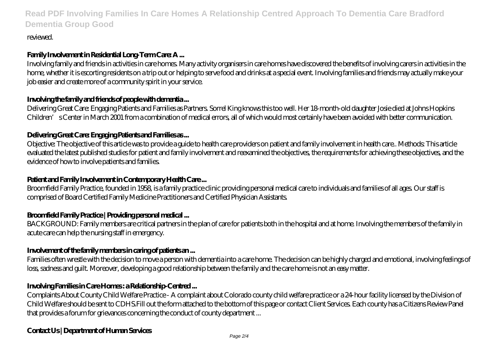reviewed.

# **Family Involvement in Residential Long-Term Care: A ...**

Involving family and friends in activities in care homes. Many activity organisers in care homes have discovered the benefits of involving carers in activities in the home, whether it is escorting residents on a trip out or helping to serve food and drinks at a special event. Involving families and friends may actually make your job easier and create more of a community spirit in your service.

#### **Involving the family and friends of people with dementia ...**

Delivering Great Care: Engaging Patients and Families as Partners. Sorrel King knows this too well. Her 18-month-old daughter Josie died at Johns Hopkins Children's Center in March 2001 from a combination of medical errors, all of which would most certainly have been avoided with better communication.

#### **Delivering Great Care: Engaging Patients and Families as ...**

Objective: The objective of this article was to provide a guide to health care providers on patient and family involvement in health care.. Methods: This article evaluated the latest published studies for patient and family involvement and reexamined the objectives, the requirements for achieving these objectives, and the evidence of how to involve patients and families.

#### **Patient and Family Involvement in Contemporary Health Care ...**

Broomfield Family Practice, founded in 1958, is a family practice clinic providing personal medical care to individuals and families of all ages. Our staff is comprised of Board Certified Family Medicine Practitioners and Certified Physician Assistants.

#### **Broomfield Family Practice | Providing personal medical ...**

BACKGROUND: Family members are critical partners in the plan of care for patients both in the hospital and at home. Involving the members of the family in acute care can help the nursing staff in emergency.

#### **Involvement of the family members in caring of patients an ...**

Families often wrestle with the decision to move a person with dementia into a care home. The decision can be highly charged and emotional, involving feelings of loss, sadness and guilt. Moreover, developing a good relationship between the family and the care home is not an easy matter.

#### **Involving Families in Care Homes : a Relationship-Centred ...**

Complaints About County Child Welfare Practice - A complaint about Colorado county child welfare practice or a 24-hour facility licensed by the Division of Child Welfare should be sent to CDHS.Fill out the form attached to the bottom of this page or contact Client Services. Each county has a Citizens Review Panel that provides a forum for grievances concerning the conduct of county department ...

#### **Contact Us | Department of Human Services**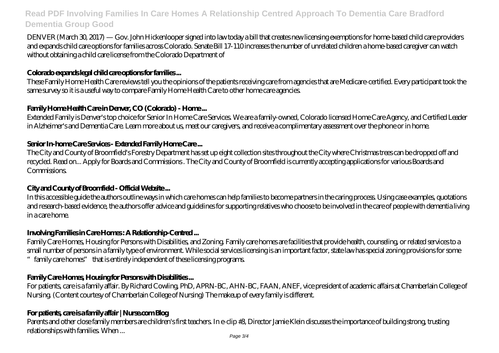DENVER (March 30, 2017) — Gov. John Hickenlooper signed into law today a bill that creates new licensing exemptions for home-based child care providers and expands child care options for families across Colorado. Senate Bill 17-110 increases the number of unrelated children a home-based caregiver can watch without obtaining a child care license from the Colorado Department of

# **Colorado expands legal child care options for families ...**

These Family Home Health Care reviews tell you the opinions of the patients receiving care from agencies that are Medicare-certified. Every participant took the same survey so it is a useful way to compare Family Home Health Care to other home care agencies.

# **Family Home Health Care in Denver, CO (Colorado) - Home ...**

Extended Family is Denver's top choice for Senior In Home Care Services. We are a family-owned, Colorado licensed Home Care Agency, and Certified Leader in Alzheimer's and Dementia Care. Learn more about us, meet our caregivers, and receive a complimentary assessment over the phone or in home.

# **Senior In-home Care Services - Extended Family Home Care ...**

The City and County of Broomfield's Forestry Department has set up eight collection sites throughout the City where Christmas trees can be dropped off and recycled. Read on... Apply for Boards and Commissions . The City and County of Broomfield is currently accepting applications for various Boards and **Commissions** 

# **City and County of Broomfield - Official Website ...**

In this accessible guide the authors outline ways in which care homes can help families to become partners in the caring process. Using case examples, quotations and research-based evidence, the authors offer advice and guidelines for supporting relatives who choose to be involved in the care of people with dementia living in a care home.

# **Involving Families in Care Homes : A Relationship-Centred ...**

Family Care Homes, Housing for Persons with Disabilities, and Zoning. Family care homes are facilities that provide health, counseling, or related services to a small number of persons in a family type of environment. While social services licensing is an important factor, state law has special zoning provisions for some family care homes" that is entirely independent of these licensing programs.

# **Family Care Homes, Housing for Persons with Disabilities ...**

For patients, care is a family affair. By Richard Cowling, PhD, APRN-BC, AHN-BC, FAAN, ANEF, vice president of academic affairs at Chamberlain College of Nursing. (Content courtesy of Chamberlain College of Nursing) The makeup of every family is different.

# **For patients, care is a family affair | Nurse.com Blog**

Parents and other close family members are children's first teachers. In e-clip #3, Director Jamie Klein discusses the importance of building strong, trusting relationships with families. When ...